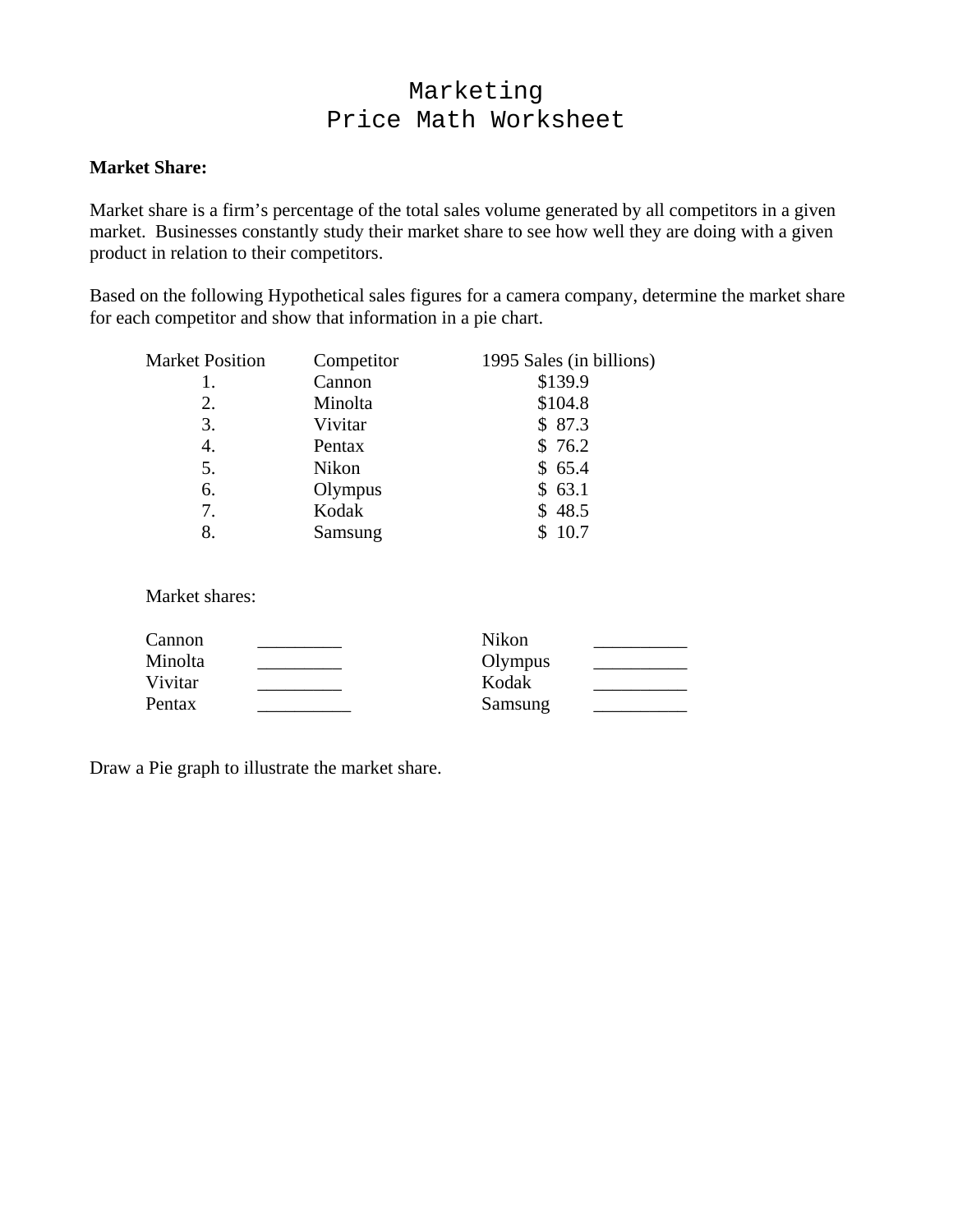# Marketing Price Math Worksheet

### **Market Share:**

Market share is a firm's percentage of the total sales volume generated by all competitors in a given market. Businesses constantly study their market share to see how well they are doing with a given product in relation to their competitors.

Based on the following Hypothetical sales figures for a camera company, determine the market share for each competitor and show that information in a pie chart.

| <b>Market Position</b> | Competitor | 1995 Sales (in billions) |
|------------------------|------------|--------------------------|
|                        | Cannon     | \$139.9                  |
| 2.                     | Minolta    | \$104.8                  |
| 3.                     | Vivitar    | \$87.3                   |
| 4.                     | Pentax     | \$76.2                   |
| 5.                     | Nikon      | \$65.4                   |
| 6.                     | Olympus    | \$63.1                   |
| 7.                     | Kodak      | \$48.5                   |
| 8.                     | Samsung    | 10.7                     |

Market shares:

| Cannon  | Nikon   |  |
|---------|---------|--|
| Minolta | Olympus |  |
| Vivitar | Kodak   |  |
| Pentax  | Samsung |  |

Draw a Pie graph to illustrate the market share.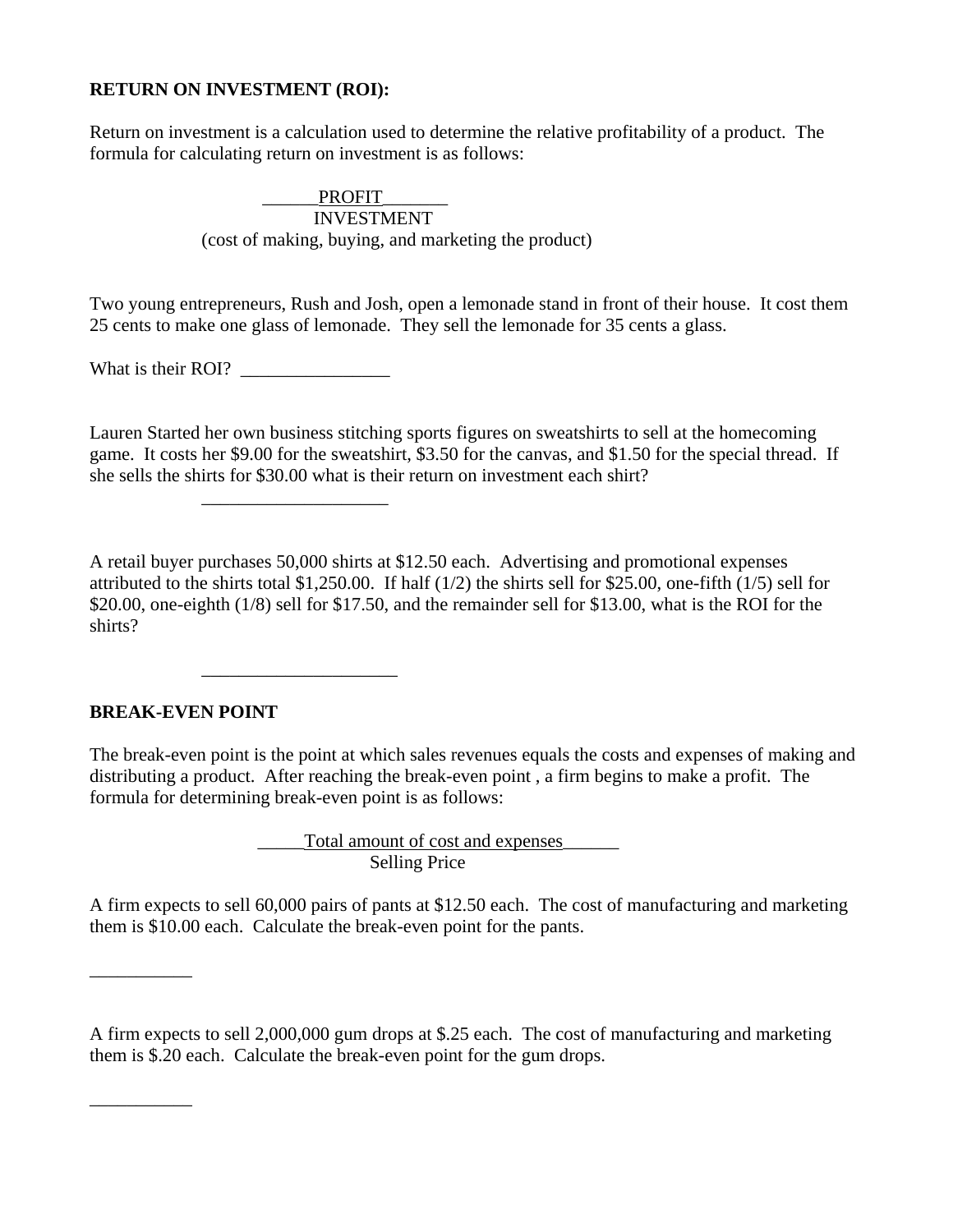### **RETURN ON INVESTMENT (ROI):**

Return on investment is a calculation used to determine the relative profitability of a product. The formula for calculating return on investment is as follows:

> PROFIT INVESTMENT (cost of making, buying, and marketing the product)

Two young entrepreneurs, Rush and Josh, open a lemonade stand in front of their house. It cost them 25 cents to make one glass of lemonade. They sell the lemonade for 35 cents a glass.

What is their ROI?

 $\frac{1}{\sqrt{2}}$  ,  $\frac{1}{\sqrt{2}}$  ,  $\frac{1}{\sqrt{2}}$  ,  $\frac{1}{\sqrt{2}}$  ,  $\frac{1}{\sqrt{2}}$  ,  $\frac{1}{\sqrt{2}}$  ,  $\frac{1}{\sqrt{2}}$  ,  $\frac{1}{\sqrt{2}}$  ,  $\frac{1}{\sqrt{2}}$  ,  $\frac{1}{\sqrt{2}}$  ,  $\frac{1}{\sqrt{2}}$  ,  $\frac{1}{\sqrt{2}}$  ,  $\frac{1}{\sqrt{2}}$  ,  $\frac{1}{\sqrt{2}}$  ,  $\frac{1}{\sqrt{2}}$ 

 $\frac{1}{2}$  ,  $\frac{1}{2}$  ,  $\frac{1}{2}$  ,  $\frac{1}{2}$  ,  $\frac{1}{2}$  ,  $\frac{1}{2}$  ,  $\frac{1}{2}$  ,  $\frac{1}{2}$  ,  $\frac{1}{2}$  ,  $\frac{1}{2}$  ,  $\frac{1}{2}$  ,  $\frac{1}{2}$  ,  $\frac{1}{2}$  ,  $\frac{1}{2}$  ,  $\frac{1}{2}$  ,  $\frac{1}{2}$  ,  $\frac{1}{2}$  ,  $\frac{1}{2}$  ,  $\frac{1$ 

Lauren Started her own business stitching sports figures on sweatshirts to sell at the homecoming game. It costs her \$9.00 for the sweatshirt, \$3.50 for the canvas, and \$1.50 for the special thread. If she sells the shirts for \$30.00 what is their return on investment each shirt?

A retail buyer purchases 50,000 shirts at \$12.50 each. Advertising and promotional expenses attributed to the shirts total \$1,250.00. If half  $(1/2)$  the shirts sell for \$25.00, one-fifth  $(1/5)$  sell for \$20.00, one-eighth (1/8) sell for \$17.50, and the remainder sell for \$13.00, what is the ROI for the shirts?

### **BREAK-EVEN POINT**

\_\_\_\_\_\_\_\_\_\_\_

\_\_\_\_\_\_\_\_\_\_\_

The break-even point is the point at which sales revenues equals the costs and expenses of making and distributing a product. After reaching the break-even point , a firm begins to make a profit. The formula for determining break-even point is as follows:

> \_\_\_\_\_Total amount of cost and expenses\_\_\_\_\_\_ Selling Price

A firm expects to sell 60,000 pairs of pants at \$12.50 each. The cost of manufacturing and marketing them is \$10.00 each. Calculate the break-even point for the pants.

A firm expects to sell 2,000,000 gum drops at \$.25 each. The cost of manufacturing and marketing them is \$.20 each. Calculate the break-even point for the gum drops.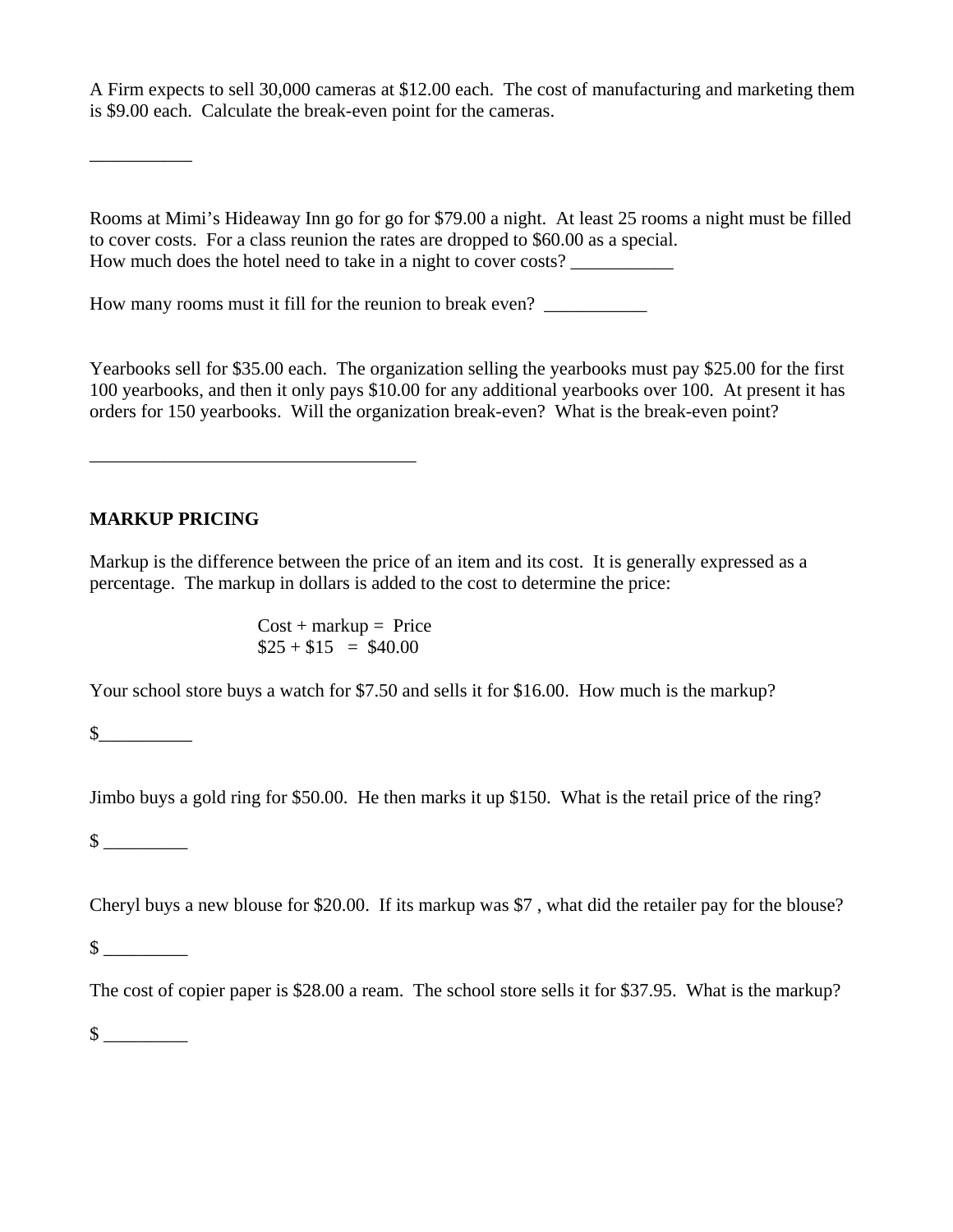A Firm expects to sell 30,000 cameras at \$12.00 each. The cost of manufacturing and marketing them is \$9.00 each. Calculate the break-even point for the cameras.

Rooms at Mimi's Hideaway Inn go for go for \$79.00 a night. At least 25 rooms a night must be filled to cover costs. For a class reunion the rates are dropped to \$60.00 as a special. How much does the hotel need to take in a night to cover costs? \_\_\_\_\_\_\_\_\_\_\_

How many rooms must it fill for the reunion to break even?

Yearbooks sell for \$35.00 each. The organization selling the yearbooks must pay \$25.00 for the first 100 yearbooks, and then it only pays \$10.00 for any additional yearbooks over 100. At present it has orders for 150 yearbooks. Will the organization break-even? What is the break-even point?

# **MARKUP PRICING**

\_\_\_\_\_\_\_\_\_\_\_\_\_\_\_\_\_\_\_\_\_\_\_\_\_\_\_\_\_\_\_\_\_\_\_

\_\_\_\_\_\_\_\_\_\_\_

Markup is the difference between the price of an item and its cost. It is generally expressed as a percentage. The markup in dollars is added to the cost to determine the price:

> $Cost + markup = Price$  $$25 + $15 = $40.00$

Your school store buys a watch for \$7.50 and sells it for \$16.00. How much is the markup?

 $\sim$ 

Jimbo buys a gold ring for \$50.00. He then marks it up \$150. What is the retail price of the ring?

 $\frac{\text{S}}{\text{S}}$ 

Cheryl buys a new blouse for \$20.00. If its markup was \$7 , what did the retailer pay for the blouse?

 $\mathbb S$ 

The cost of copier paper is \$28.00 a ream. The school store sells it for \$37.95. What is the markup?

 $\mathbb S$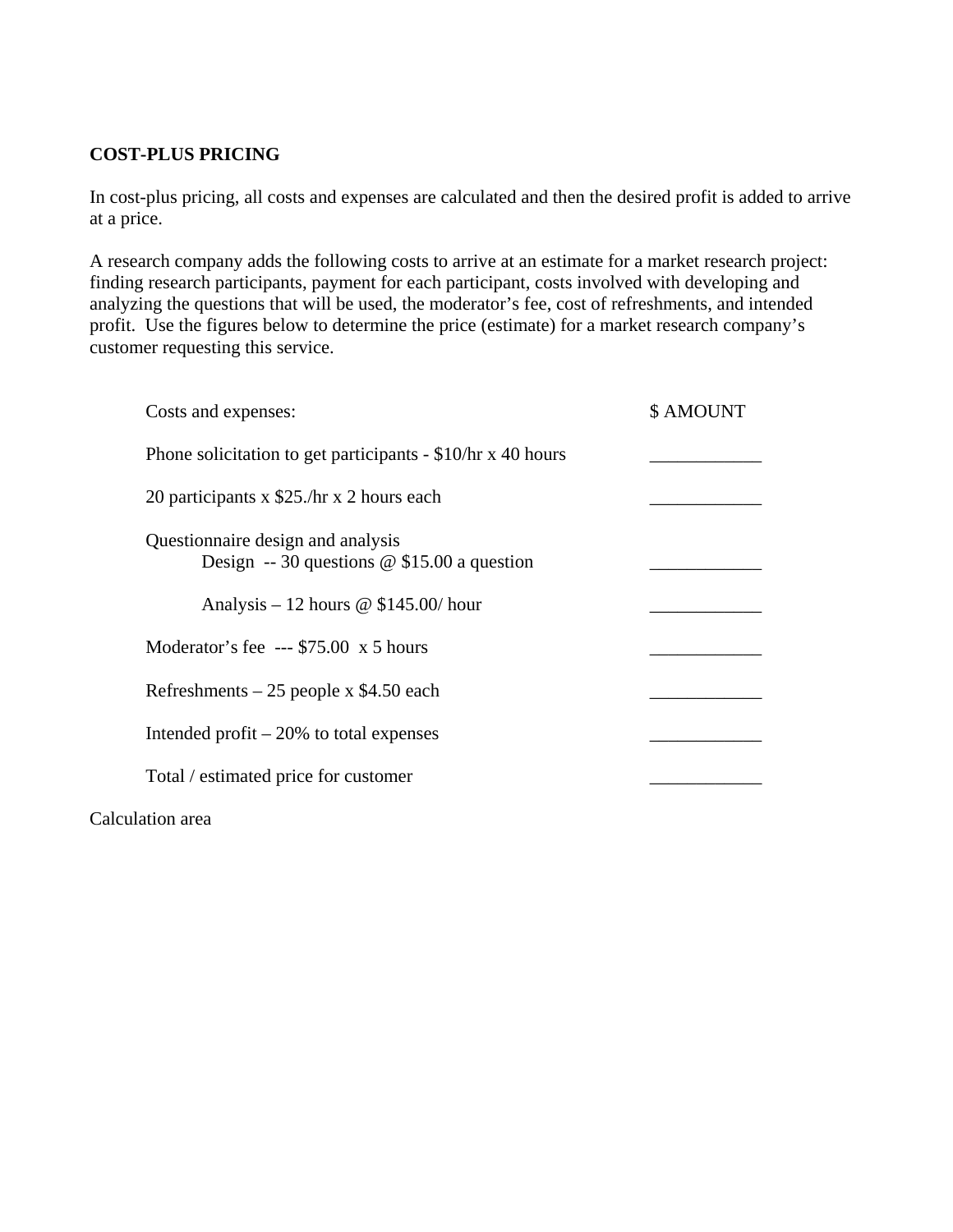# **COST-PLUS PRICING**

In cost-plus pricing, all costs and expenses are calculated and then the desired profit is added to arrive at a price.

A research company adds the following costs to arrive at an estimate for a market research project: finding research participants, payment for each participant, costs involved with developing and analyzing the questions that will be used, the moderator's fee, cost of refreshments, and intended profit. Use the figures below to determine the price (estimate) for a market research company's customer requesting this service.

| Costs and expenses:                                                                | \$ AMOUNT |
|------------------------------------------------------------------------------------|-----------|
| Phone solicitation to get participants - $$10/hr \times 40 hours$                  |           |
| 20 participants x \$25./hr x 2 hours each                                          |           |
| Questionnaire design and analysis<br>Design -- 30 questions $@$ \$15.00 a question |           |
| Analysis – 12 hours $\omega$ \$145.00/hour                                         |           |
| Moderator's fee --- $$75.00 \times 5 \text{ hours}$                                |           |
| Refreshments $-25$ people x \$4.50 each                                            |           |
| Intended profit $-20\%$ to total expenses                                          |           |
| Total / estimated price for customer                                               |           |
|                                                                                    |           |

Calculation area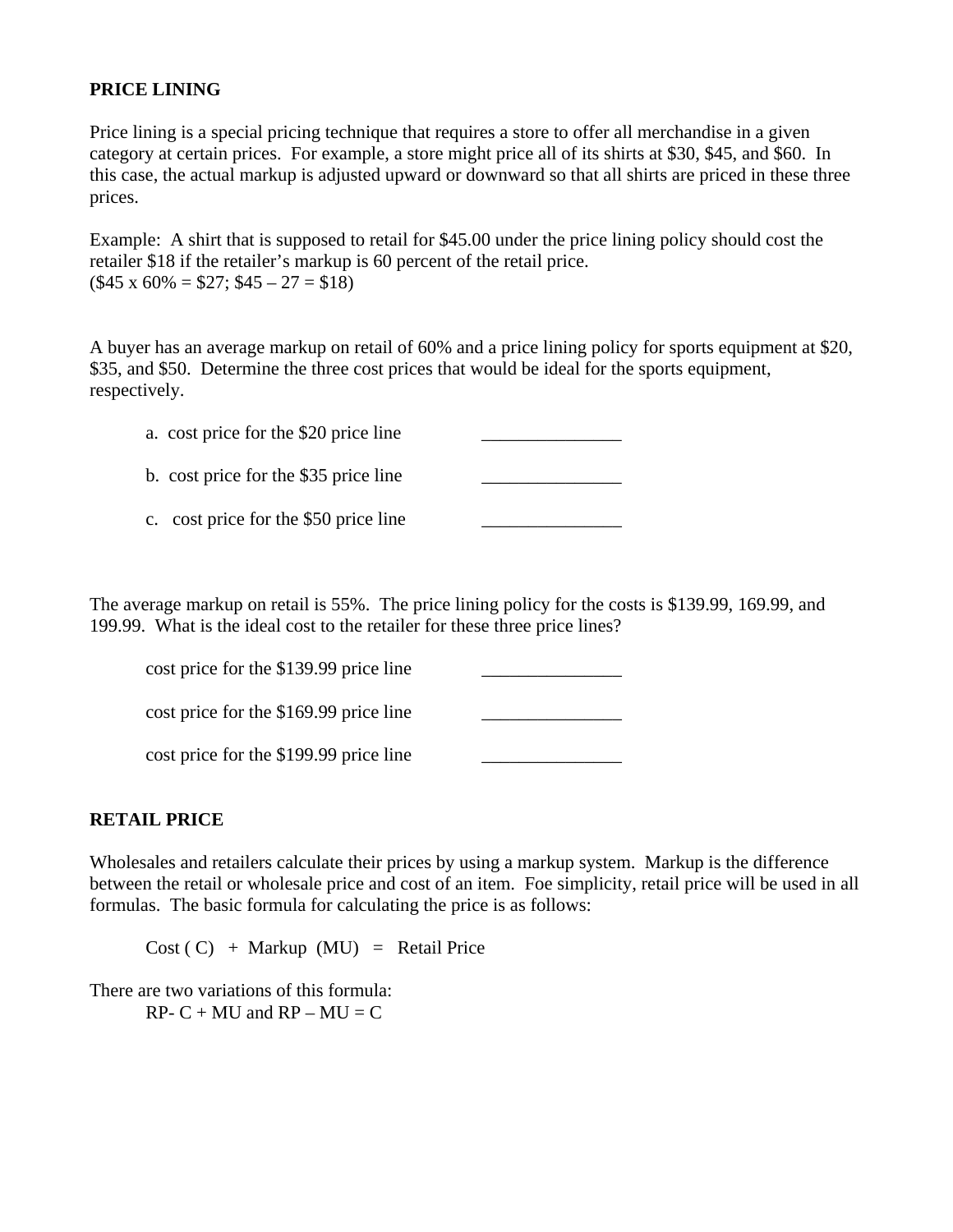### **PRICE LINING**

Price lining is a special pricing technique that requires a store to offer all merchandise in a given category at certain prices. For example, a store might price all of its shirts at \$30, \$45, and \$60. In this case, the actual markup is adjusted upward or downward so that all shirts are priced in these three prices.

Example: A shirt that is supposed to retail for \$45.00 under the price lining policy should cost the retailer \$18 if the retailer's markup is 60 percent of the retail price.  $($45 \times 60\% = $27; $45 - 27 = $18)$ 

A buyer has an average markup on retail of 60% and a price lining policy for sports equipment at \$20, \$35, and \$50. Determine the three cost prices that would be ideal for the sports equipment, respectively.

a. cost price for the \$20 price line

b. cost price for the \$35 price line \_\_\_\_\_\_\_\_\_\_\_\_\_\_\_

c. cost price for the \$50 price line

The average markup on retail is 55%. The price lining policy for the costs is \$139.99, 169.99, and 199.99. What is the ideal cost to the retailer for these three price lines?

cost price for the  $$139.99$  price line  $\cot$  price for the \$169.99 price line

 $\cot$  price for the \$199.99 price line

### **RETAIL PRICE**

Wholesales and retailers calculate their prices by using a markup system. Markup is the difference between the retail or wholesale price and cost of an item. Foe simplicity, retail price will be used in all formulas. The basic formula for calculating the price is as follows:

 $Cost ( C) + Markup (MU) = Retail Price$ 

There are two variations of this formula:  $RP - C + MU$  and  $RP - MU = C$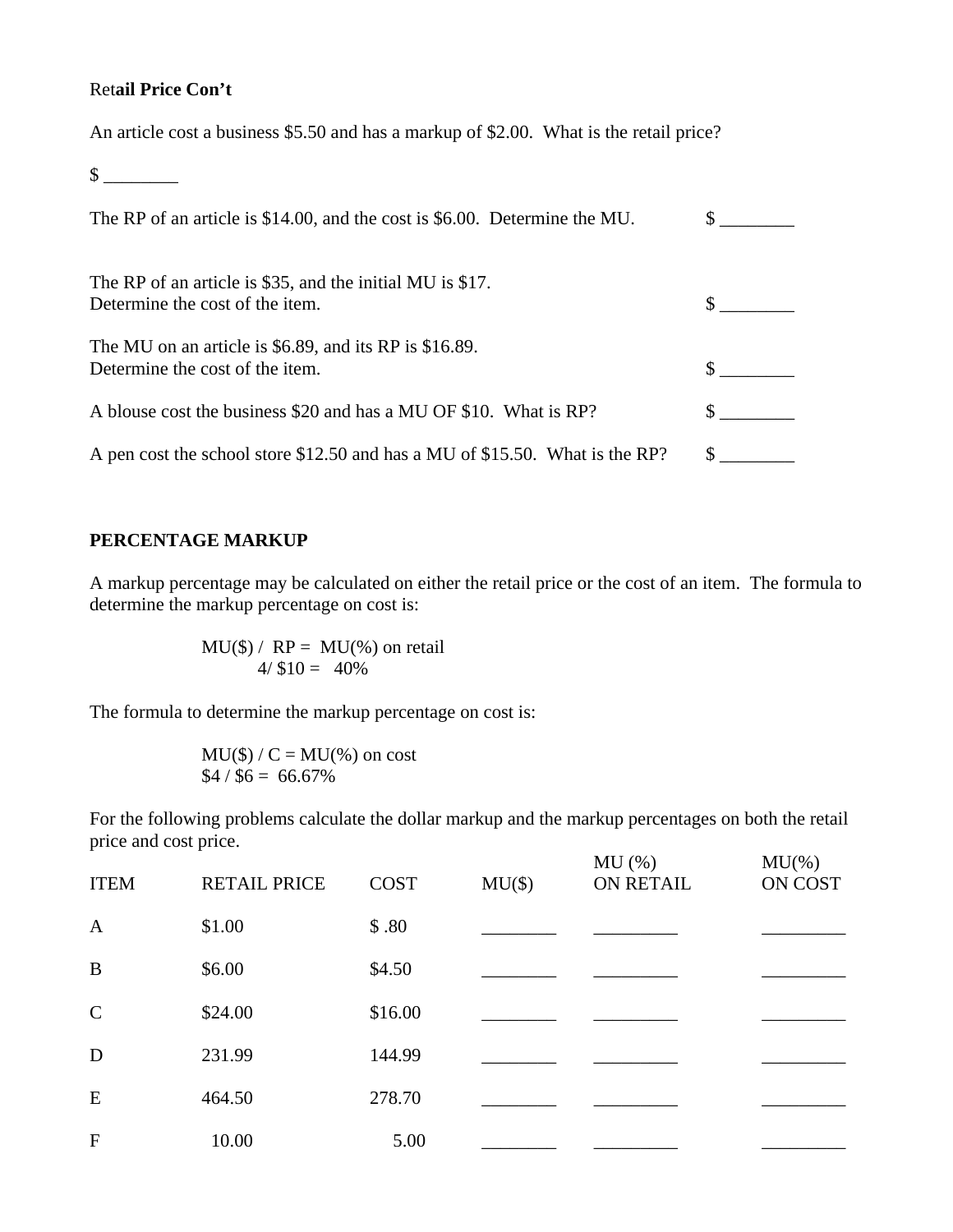### Ret**ail Price Con't**

 $\frac{\text{S}}{\text{S}}$ 

An article cost a business \$5.50 and has a markup of \$2.00. What is the retail price?

| The RP of an article is $$14.00$ , and the cost is $$6.00$ . Determine the MU.                |  |
|-----------------------------------------------------------------------------------------------|--|
| The RP of an article is \$35, and the initial MU is \$17.<br>Determine the cost of the item.  |  |
| The MU on an article is $$6.89$ , and its RP is $$16.89$ .<br>Determine the cost of the item. |  |
| A blouse cost the business \$20 and has a MU OF \$10. What is RP?                             |  |
| A pen cost the school store \$12.50 and has a MU of \$15.50. What is the RP?                  |  |

## **PERCENTAGE MARKUP**

A markup percentage may be calculated on either the retail price or the cost of an item. The formula to determine the markup percentage on cost is:

$$
MU(\$) / RP = MU(\%) on retail
$$
  
4/ \$10 = 40%

The formula to determine the markup percentage on cost is:

$$
MU(\$)/C = MU(%)
$$
on cost  
\$4 / \$6 = 66.67%

For the following problems calculate the dollar markup and the markup percentages on both the retail price and cost price. MU( $\alpha$ ) MU( $\alpha$ )

| <b>ITEM</b>   | <b>RETAIL PRICE</b> | <b>COST</b> | $MU(\$))$ | MU(%)<br>ON RETAIL | MU(% )<br>ON COST |
|---------------|---------------------|-------------|-----------|--------------------|-------------------|
| $\mathbf{A}$  | \$1.00              | \$.80       |           |                    |                   |
| B             | \$6.00              | \$4.50      |           |                    |                   |
| $\mathcal{C}$ | \$24.00             | \$16.00     |           |                    |                   |
| D             | 231.99              | 144.99      |           |                    |                   |
| E             | 464.50              | 278.70      |           |                    |                   |
| $\mathbf{F}$  | 10.00               | 5.00        |           |                    |                   |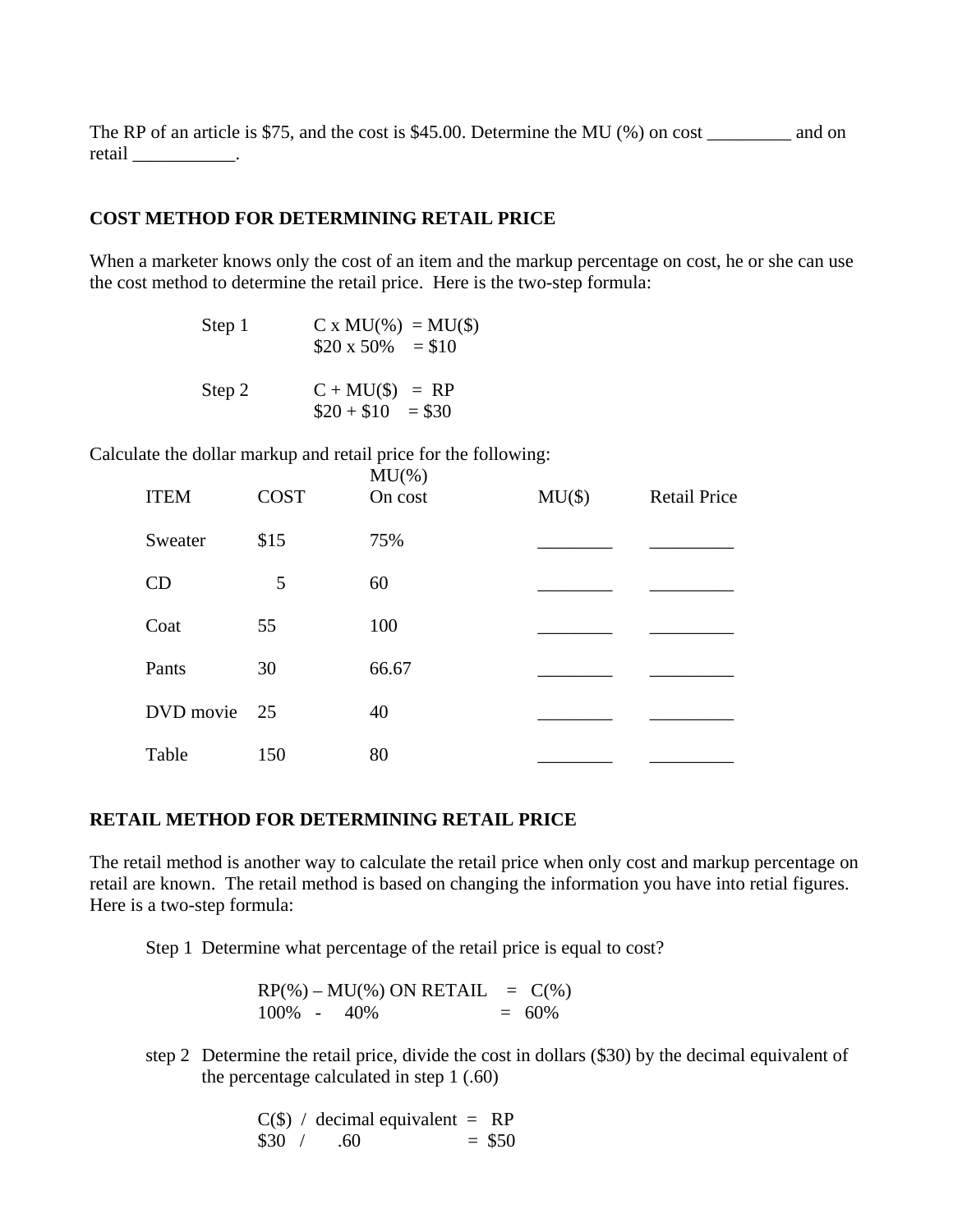The RP of an article is \$75, and the cost is \$45.00. Determine the MU (%) on cost \_\_\_\_\_\_\_\_\_\_ and on retail \_\_\_\_\_\_\_\_\_\_\_\_\_.

#### **COST METHOD FOR DETERMINING RETAIL PRICE**

When a marketer knows only the cost of an item and the markup percentage on cost, he or she can use the cost method to determine the retail price. Here is the two-step formula:

| Step 1 | $C x MU(*) = MU(*)$<br>$$20 \times 50\% = $10$ |
|--------|------------------------------------------------|
| Step 2 | $C + MU(\$)) = RP$<br>$$20 + $10 = $30$        |

Calculate the dollar markup and retail price for the following:

| <b>ITEM</b>  | <b>COST</b> | $MU$ %)<br>On cost | $MU(\$))$ | <b>Retail Price</b> |
|--------------|-------------|--------------------|-----------|---------------------|
| Sweater      | \$15        | 75%                |           |                     |
| CD           | 5           | 60                 |           |                     |
| Coat         | 55          | 100                |           |                     |
| Pants        | 30          | 66.67              |           |                     |
| DVD movie 25 |             | 40                 |           |                     |
| Table        | 150         | 80                 |           |                     |

#### **RETAIL METHOD FOR DETERMINING RETAIL PRICE**

The retail method is another way to calculate the retail price when only cost and markup percentage on retail are known. The retail method is based on changing the information you have into retial figures. Here is a two-step formula:

Step 1 Determine what percentage of the retail price is equal to cost?

 $RP(\%) - MU(\%) ON RETAIL = C(\%)$  $100\% - 40\% = 60\%$ 

step 2 Determine the retail price, divide the cost in dollars (\$30) by the decimal equivalent of the percentage calculated in step 1 (.60)

> $C(\$)$  / decimal equivalent = RP  $$30 / .60 = $50$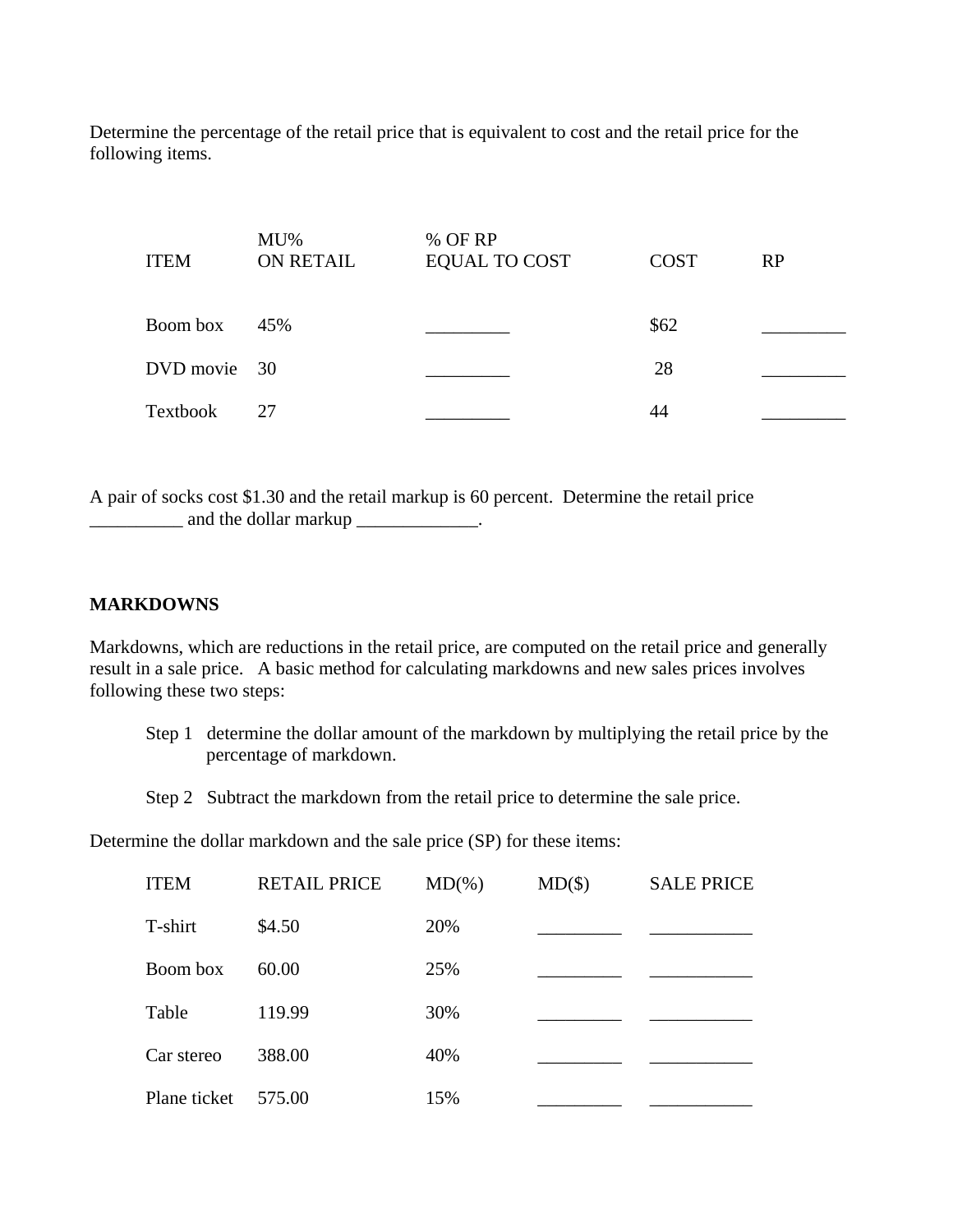Determine the percentage of the retail price that is equivalent to cost and the retail price for the following items.

| <b>ITEM</b>  | $MU\%$<br><b>ON RETAIL</b> | % OF RP<br><b>EQUAL TO COST</b> | <b>COST</b> | RP |
|--------------|----------------------------|---------------------------------|-------------|----|
| Boom box     | 45%                        |                                 | \$62        |    |
| DVD movie 30 |                            |                                 | 28          |    |
| Textbook     | 27                         |                                 | 44          |    |

A pair of socks cost \$1.30 and the retail markup is 60 percent. Determine the retail price \_\_\_\_\_\_\_\_\_\_ and the dollar markup \_\_\_\_\_\_\_\_\_\_\_\_\_.

### **MARKDOWNS**

Markdowns, which are reductions in the retail price, are computed on the retail price and generally result in a sale price. A basic method for calculating markdowns and new sales prices involves following these two steps:

- Step 1 determine the dollar amount of the markdown by multiplying the retail price by the percentage of markdown.
- Step 2 Subtract the markdown from the retail price to determine the sale price.

Determine the dollar markdown and the sale price (SP) for these items:

| <b>ITEM</b>  | <b>RETAIL PRICE</b> | $MD(\% )$ | $MD(\$))$ | <b>SALE PRICE</b> |
|--------------|---------------------|-----------|-----------|-------------------|
| T-shirt      | \$4.50              | 20%       |           |                   |
| Boom box     | 60.00               | 25%       |           |                   |
| Table        | 119.99              | 30%       |           |                   |
| Car stereo   | 388.00              | 40%       |           |                   |
| Plane ticket | 575.00              | 15%       |           |                   |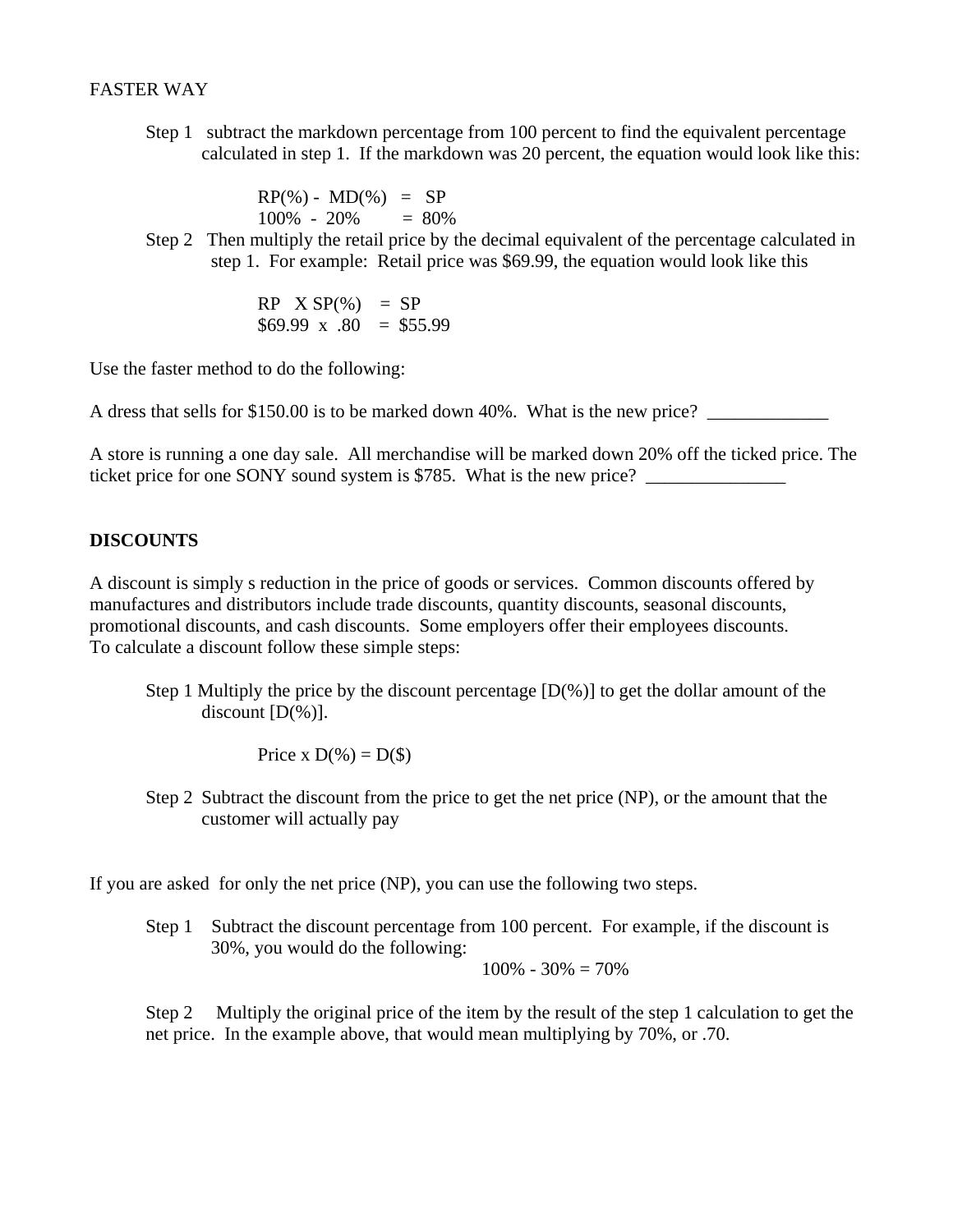### FASTER WAY

 Step 1 subtract the markdown percentage from 100 percent to find the equivalent percentage calculated in step 1. If the markdown was 20 percent, the equation would look like this:

> $RP(\%)$  -  $MD(\%)$  = SP  $100\% - 20\% = 80\%$

 Step 2 Then multiply the retail price by the decimal equivalent of the percentage calculated in step 1. For example: Retail price was \$69.99, the equation would look like this

> $RP$   $X$   $SP$ (%) =  $SP$  $$69.99 \times .80 = $55.99$

Use the faster method to do the following:

A dress that sells for \$150.00 is to be marked down 40%. What is the new price?

A store is running a one day sale. All merchandise will be marked down 20% off the ticked price. The ticket price for one SONY sound system is \$785. What is the new price? \_\_\_\_\_\_\_\_\_\_

### **DISCOUNTS**

A discount is simply s reduction in the price of goods or services. Common discounts offered by manufactures and distributors include trade discounts, quantity discounts, seasonal discounts, promotional discounts, and cash discounts. Some employers offer their employees discounts. To calculate a discount follow these simple steps:

Step 1 Multiply the price by the discount percentage  $[D(\%)]$  to get the dollar amount of the discount [D(%)].

Price x  $D(\%) = D(\$)$ 

 Step 2 Subtract the discount from the price to get the net price (NP), or the amount that the customer will actually pay

If you are asked for only the net price (NP), you can use the following two steps.

Step 1 Subtract the discount percentage from 100 percent. For example, if the discount is 30%, you would do the following:

 $100\% - 30\% = 70\%$ 

Step 2 Multiply the original price of the item by the result of the step 1 calculation to get the net price. In the example above, that would mean multiplying by 70%, or .70.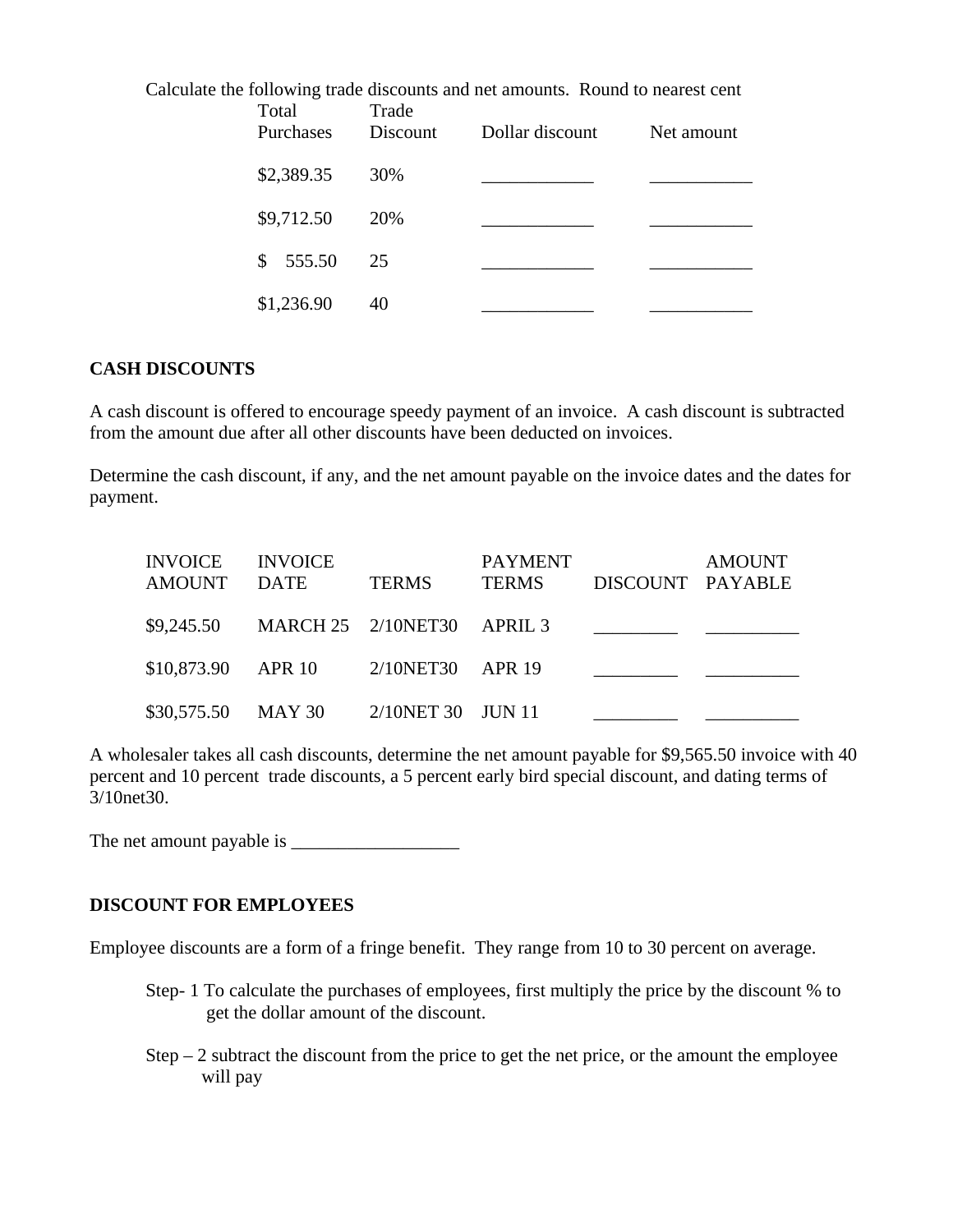| Calculate the following trade discounts and net amounts. Round to nearest cent<br>Trade<br>Total |            |          |                 |            |  |  |
|--------------------------------------------------------------------------------------------------|------------|----------|-----------------|------------|--|--|
|                                                                                                  | Purchases  | Discount | Dollar discount | Net amount |  |  |
|                                                                                                  | \$2,389.35 | 30%      |                 |            |  |  |
|                                                                                                  | \$9,712.50 | 20%      |                 |            |  |  |
|                                                                                                  | \$555.50   | 25       |                 |            |  |  |
|                                                                                                  | \$1,236.90 | 40       |                 |            |  |  |

### **CASH DISCOUNTS**

A cash discount is offered to encourage speedy payment of an invoice. A cash discount is subtracted from the amount due after all other discounts have been deducted on invoices.

Determine the cash discount, if any, and the net amount payable on the invoice dates and the dates for payment.

| <b>INVOICE</b><br><b>AMOUNT</b> | <b>INVOICE</b><br>DATE            | <b>TERMS</b>      | <b>PAYMENT</b><br><b>TERMS</b> | DISCOUNT PAYABLE | <b>AMOUNT</b> |
|---------------------------------|-----------------------------------|-------------------|--------------------------------|------------------|---------------|
| \$9,245.50                      | <b>MARCH 25 2/10NET30 APRIL 3</b> |                   |                                |                  |               |
| \$10,873.90                     | <b>APR 10</b>                     | 2/10NET30 APR 19  |                                |                  |               |
| \$30,575.50                     | MAY 30                            | 2/10NET 30 JUN 11 |                                |                  |               |

A wholesaler takes all cash discounts, determine the net amount payable for \$9,565.50 invoice with 40 percent and 10 percent trade discounts, a 5 percent early bird special discount, and dating terms of 3/10net30.

The net amount payable is \_\_\_\_\_\_\_\_\_\_\_\_\_\_\_\_\_\_

#### **DISCOUNT FOR EMPLOYEES**

Employee discounts are a form of a fringe benefit. They range from 10 to 30 percent on average.

- Step- 1 To calculate the purchases of employees, first multiply the price by the discount % to get the dollar amount of the discount.
- Step  $-2$  subtract the discount from the price to get the net price, or the amount the employee will pay